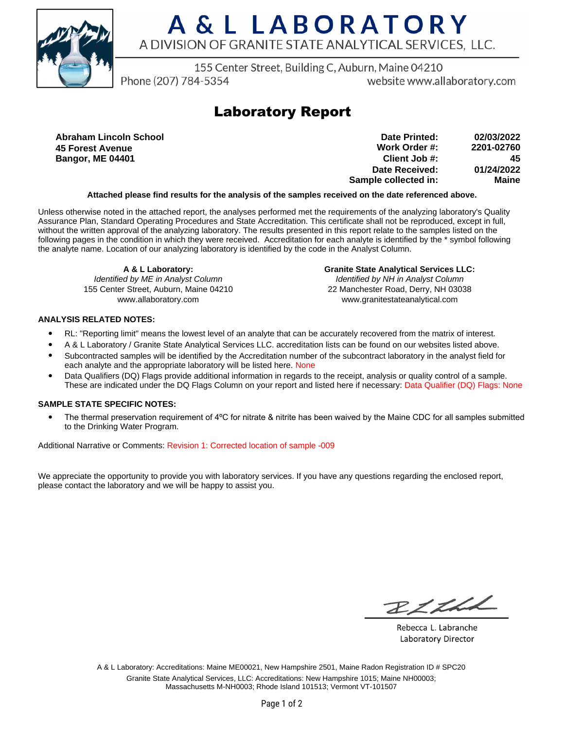

## A & L LABORATORY A DIVISION OF GRANITE STATE ANALYTICAL SERVICES, LLC.

155 Center Street, Building C, Auburn, Maine 04210

Phone (207) 784-5354

website www.allaboratory.com

### **Laboratory Report**

**Abraham Lincoln School 45 Forest Avenue Bangor, ME 04401**

**Work Order #: Client Job #: Date Received: Sample collected in: 2201-02760 45 01/24/2022 Maine Date Printed: 02/03/2022**

#### **Attached please find results for the analysis of the samples received on the date referenced above.**

Unless otherwise noted in the attached report, the analyses performed met the requirements of the analyzing laboratory's Quality Assurance Plan, Standard Operating Procedures and State Accreditation. This certificate shall not be reproduced, except in full, without the written approval of the analyzing laboratory. The results presented in this report relate to the samples listed on the following pages in the condition in which they were received. Accreditation for each analyte is identified by the \* symbol following the analyte name. Location of our analyzing laboratory is identified by the code in the Analyst Column.

**A & L Laboratory:** Identified by ME in Analyst Column 155 Center Street, Auburn, Maine 04210 www.allaboratory.com

**Granite State Analytical Services LLC:** Identified by NH in Analyst Column 22 Manchester Road, Derry, NH 03038 www.granitestateanalytical.com

#### **ANALYSIS RELATED NOTES:**

- RL: "Reporting limit" means the lowest level of an analyte that can be accurately recovered from the matrix of interest.
- A & L Laboratory / Granite State Analytical Services LLC. accreditation lists can be found on our websites listed above.
- Subcontracted samples will be identified by the Accreditation number of the subcontract laboratory in the analyst field for each analyte and the appropriate laboratory will be listed here. None
- Data Qualifiers (DQ) Flags provide additional information in regards to the receipt, analysis or quality control of a sample. These are indicated under the DQ Flags Column on your report and listed here if necessary: Data Qualifier (DQ) Flags: None

#### **SAMPLE STATE SPECIFIC NOTES:**

• The thermal preservation requirement of 4°C for nitrate & nitrite has been waived by the Maine CDC for all samples submitted to the Drinking Water Program.

Additional Narrative or Comments: Revision 1: Corrected location of sample -009

We appreciate the opportunity to provide you with laboratory services. If you have any questions regarding the enclosed report, please contact the laboratory and we will be happy to assist you.

RICHL

Rebecca L. Labranche Laboratory Director

A & L Laboratory: Accreditations: Maine ME00021, New Hampshire 2501, Maine Radon Registration ID # SPC20 Granite State Analytical Services, LLC: Accreditations: New Hampshire 1015; Maine NH00003; Massachusetts M-NH0003; Rhode Island 101513; Vermont VT-101507